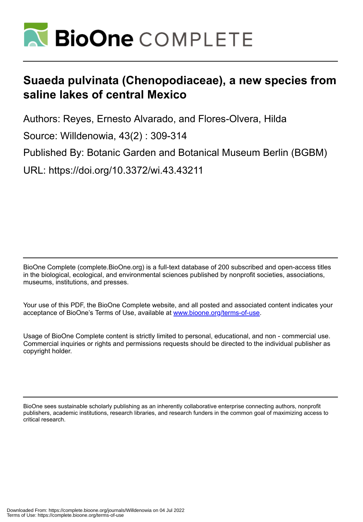

# **Suaeda pulvinata (Chenopodiaceae), a new species from saline lakes of central Mexico**

Authors: Reyes, Ernesto Alvarado, and Flores-Olvera, Hilda

Source: Willdenowia, 43(2) : 309-314

Published By: Botanic Garden and Botanical Museum Berlin (BGBM)

URL: https://doi.org/10.3372/wi.43.43211

BioOne Complete (complete.BioOne.org) is a full-text database of 200 subscribed and open-access titles in the biological, ecological, and environmental sciences published by nonprofit societies, associations, museums, institutions, and presses.

Your use of this PDF, the BioOne Complete website, and all posted and associated content indicates your acceptance of BioOne's Terms of Use, available at www.bioone.org/terms-of-use.

Usage of BioOne Complete content is strictly limited to personal, educational, and non - commercial use. Commercial inquiries or rights and permissions requests should be directed to the individual publisher as copyright holder.

BioOne sees sustainable scholarly publishing as an inherently collaborative enterprise connecting authors, nonprofit publishers, academic institutions, research libraries, and research funders in the common goal of maximizing access to critical research.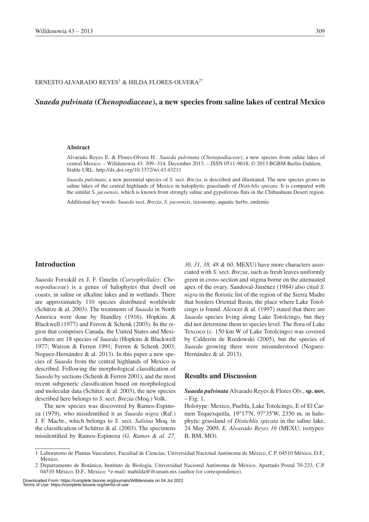### ERNESTO ALVARADO REYES $^1$  & HILDA FLORES-OLVERA $^{2^{\ast}}$

## *Suaeda pulvinata* **(***Chenopodiaceae***), a new species from saline lakes of central Mexico**

#### **Abstract**

Alvarado Reyes E. & Flores-Olvera H.: *Suaeda pulvinata* (*Chenopodiaceae*), a new species from saline lakes of central Mexico. – Willdenowia 43: 309–314. December 2013. – ISSN 0511-9618; © 2013 BGBM Berlin-Dahlem. Stable URL: http://dx.doi.org/10.3372/wi.43.43211

*Suaeda pulvinata*, a new perennial species of *S.* sect. *Brezia*, is described and illustrated. The new species grows in saline lakes of the central highlands of Mexico in halophytic grasslands of *Distichlis spicata*. It is compared with the similar *S. jacoensis*, which is known from strongly saline and gypsiferous flats in the Chihuahuan Desert region.

Additional key words: *Suaeda* sect. *Brezia*, *S. jacoensis*, taxonomy, aquatic herbs, endemic

#### **Introduction**

*Suaeda* Forsskål ex J. F. Gmelin (*Caryophyllales*: *Chenopodiaceae*) is a genus of halophytes that dwell on coasts, in saline or alkaline lakes and in wetlands. There are approximately 110 species distributed worldwide (Schütze & al. 2003). The treatments of *Suaeda* in North America were done by Standley (1916), Hopkins & Blackwell (1977) and Ferren & Schenk (2003). In the region that comprises Canada, the United States and Mexico there are 18 species of *Suaeda* (Hopkins & Blackwell 1977; Watson & Ferren 1991; Ferren & Schenk 2003; Noguez-Hernández & al. 2013). In this paper a new species of *Suaeda* from the central highlands of Mexico is described. Following the morphological classification of *Suaeda* by sections (Schenk & Ferren 2001), and the most recent subgeneric classification based on morphological and molecular data (Schütze  $\&$  al. 2003), the new species described here belongs to *S.* sect. *Brezia* (Moq.) Volk.

The new species was discovered by Ramos-Espinoza (1979), who misidentified it as *Suaeda nigra* (Raf.) J. F. Macbr., which belongs to *S.* sect. *Salsina* Moq. in the classification of Schütze  $&$  al. (2003). The specimens misidentified by Ramos-Espinoza (*G. Ramos & al. 27,* 

*30, 31, 38, 48 & 60*, MEXU) have more characters associated with *S.* sect. *Brezia*, such as fresh leaves uniformly green in cross-section and stigma borne on the attenuated apex of the ovary. Sandoval-Jiménez (1984) also cited *S. nigra* in the floristic list of the region of the Sierra Madre that borders Oriental Basin, the place where Lake Totolcingo is found. Alcocer  $\&$  al. (1997) stated that there are *Suaeda* species living along Lake Totolcingo, but they did not determine them to species level. The flora of Lake Texcoco (c. 150 km W of Lake Totolcingo) was covered by Calderón de Rzedowski (2005), but the species of *Suaeda* growing there were misunderstood (Noguez-Hernández & al. 2013).

#### **Results and Discussion**

#### *Suaeda pulvinata* Alvarado Reyes & Flores Olv., **sp. nov.**  $-$  Fig. 1.

Holotype: Mexico, Puebla, Lake Totolcingo, E of El Carmen Tequexquitla, 19°17'N, 97°35'W, 2350 m, in halophytic grassland of *Distichlis spicata* in the saline lake, 24 May 2009, *E. Alvarado Reyes 16* (MEXU; isotypes: B, BM, MO).

<sup>1</sup> Laboratorio de Plantas Vasculares, Facultad de Ciencias, Universidad Nacional Autónoma de México, C.P. 04510 México, D.F., Mexico.

<sup>2</sup> Departamento de Botánica, Instituto de Biología, Universidad Nacional Autónoma de México, Apartado Postal 70-233, C.P. 04510 México, D.F., Mexico; \*e-mail: mahilda@ib.unam.mx (author for correspondence).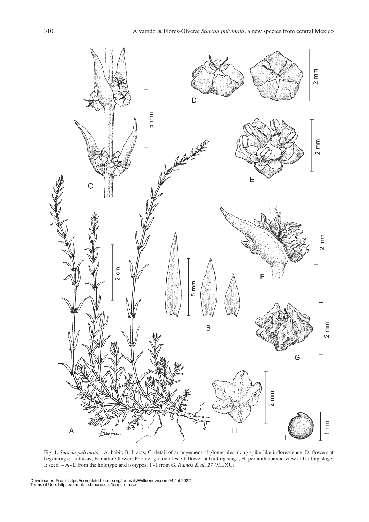

Fig. 1. *Suaeda pulvinata* – A: habit; B: bracts; C: detail of arrangement of glomerules along spike-like inflorescence; D: flowers at beginning of anthesis; E: mature flower; F: older glomerules; G: flower at fruiting stage; H: perianth abaxial view at fruiting stage; I: seed. – A–E from the holotype and isotypes; F–I from *G. Ramos & al. 27* (MEXU).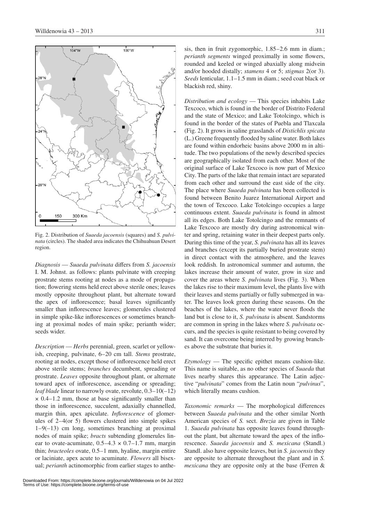

Fig. 2. Distribution of *Suaeda jacoensis* (squares) and *S. pulvinata* (circles). The shaded area indicates the Chihuahuan Desert region.

*Diagnosis* — *Suaeda pulvinata* differs from *S. jacoensis* I. M. Johnst. as follows: plants pulvinate with creeping prostrate stems rooting at nodes as a mode of propagation; flowering stems held erect above sterile ones; leaves mostly opposite throughout plant, but alternate toward the apex of inflorescence; basal leaves significantly smaller than inflorescence leaves; glomerules clustered in simple spike-like inflorescences or sometimes branching at proximal nodes of main spike; perianth wider; seeds wider.

*Description* — *Herbs* perennial, green, scarlet or yellowish, creeping, pulvinate, 6–20 cm tall. *Stems* prostrate, rooting at nodes, except those of inflorescence held erect above sterile stems; *branches* decumbent, spreading or prostrate. *Leaves* opposite throughout plant, or alternate toward apex of inflorescence, ascending or spreading; *leaf blade* linear to narrowly ovate, revolute, 0.3–10(–12)  $\times$  0.4–1.2 mm, those at base significantly smaller than those in inflorescence, succulent, adaxially channelled, margin thin, apex apiculate. *Inflorescence* of glomerules of 2–4(or 5) flowers clustered into simple spikes  $1-9(-13)$  cm long, sometimes branching at proximal nodes of main spike; *bracts* subtending glomerules linear to ovate-acuminate,  $0.5-4.3 \times 0.7-1.7$  mm, margin thin; *bracteoles* ovate, 0.5–1 mm, hyaline, margin entire or laciniate, apex acute to acuminate. *Flowers* all bisexual; *perianth* actinomorphic from earlier stages to anthesis, then in fruit zygomorphic, 1.85–2.6 mm in diam.; *perianth segments* winged proximally in some flowers, rounded and keeled or winged abaxially along midvein and/or hooded distally; *stamens* 4 or 5; *stigmas* 2(or 3). *Seeds* lenticular, 1.1–1.5 mm in diam.; seed coat black or blackish red, shiny.

*Distribution and ecology* — This species inhabits Lake Texcoco, which is found in the border of Distrito Federal and the state of Mexico; and Lake Totolcingo, which is found in the border of the states of Puebla and Tlaxcala (Fig. 2). It grows in saline grasslands of *Distichlis spicata* (L.) Greene frequently flooded by saline water. Both lakes are found within endorheic basins above 2000 m in altitude. The two populations of the newly described species are geographically isolated from each other. Most of the original surface of Lake Texcoco is now part of Mexico City. The parts of the lake that remain intact are separated from each other and surround the east side of the city. The place where *Suaeda pulvinata* has been collected is found between Benito Juarez International Airport and the town of Texcoco. Lake Totolcingo occupies a large continuous extent. *Suaeda pulvinata* is found in almost all its edges. Both Lake Totolcingo and the remnants of Lake Texcoco are mostly dry during astronomical winter and spring, retaining water in their deepest parts only. During this time of the year, *S. pulvinata* has all its leaves and branches (except its partially buried prostrate stem) in direct contact with the atmosphere, and the leaves look reddish. In astronomical summer and autumn, the lakes increase their amount of water, grow in size and cover the areas where *S. pulvinata* lives (Fig. 3). When the lakes rise to their maximum level, the plants live with their leaves and stems partially or fully submerged in water. The leaves look green during these seasons. On the beaches of the lakes, where the water never floods the land but is close to it, *S. pulvinata* is absent. Sandstorms are common in spring in the lakes where *S. pulvinata* occurs, and the species is quite resistant to being covered by sand. It can overcome being interred by growing branches above the substrate that buries it.

*Etymology* — The specific epithet means cushion-like. This name is suitable, as no other species of *Suaeda* that lives nearby shares this appearance. The Latin adjective "*pulvinata*" comes from the Latin noun "*pulvinus*", which literally means cushion.

*Taxonomic remarks* — The morphological differences between *Suaeda pulvinata* and the other similar North American species of *S.* sect. *Brezia* are given in Table 1. *Suaeda pulvinata* has opposite leaves found throughout the plant, but alternate toward the apex of the inflorescence. *Suaeda jacoensis* and *S. mexicana* (Standl.) Standl. also have opposite leaves, but in *S. jacoensis* they are opposite to alternate throughout the plant and in *S. mexicana* they are opposite only at the base (Ferren &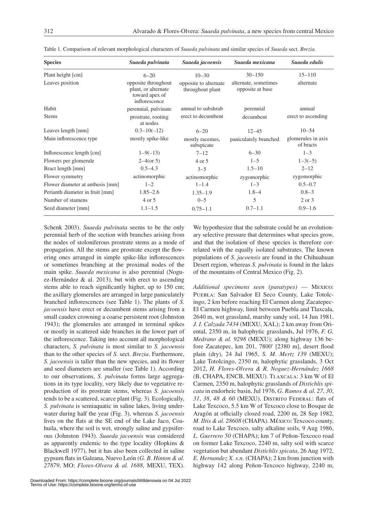| <b>Species</b>                   | Suaeda pulvinata                                                              | Suaeda jacoensis                          | Suaeda mexicana                          | Suaeda edulis                   |
|----------------------------------|-------------------------------------------------------------------------------|-------------------------------------------|------------------------------------------|---------------------------------|
| Plant height [cm]                | $6 - 20$                                                                      | $10 - 30$                                 | $30 - 150$                               | $15 - 110$                      |
| Leaves position                  | opposite throughout<br>plant, or alternate<br>toward apex of<br>inflorescence | opposite to alternate<br>throughout plant | alternate, sometimes<br>opposite at base | alternate                       |
| Habit                            | perennial, pulvinate                                                          | annual to subshrub                        | perennial                                | annual                          |
| <b>Stems</b>                     | prostrate, rooting<br>at nodes                                                | erect to decumbent                        | decumbent                                | erect to ascending              |
| Leaves length [mm]               | $0.3 - 10(-12)$                                                               | $6 - 20$                                  | $12 - 45$                                | $10 - 54$                       |
| Main inflorescence type          | mostly spike-like                                                             | mostly racemes,<br>subspicate             | paniculately branched                    | glomerules in axis<br>of bracts |
| Inflorescence length [cm]        | $1 - 9(-13)$                                                                  | $7 - 12$                                  | $6 - 30$                                 | $1 - 3$                         |
| Flowers per glomerule            | $2-4$ (or 5)                                                                  | 4 or 5                                    | $1 - 5$                                  | $1 - 3(-5)$                     |
| Bract length [mm]                | $0.5 - 4.3$                                                                   | $3 - 5$                                   | $1.5 - 10$                               | $2 - 12$                        |
| Flower symmetry                  | actinomorphic                                                                 | actinomorphic                             | zygomorphic                              | zygomorphic                     |
| Flower diameter at anthesis [mm] | $1 - 2$                                                                       | $1 - 1.4$                                 | $1 - 3$                                  | $0.5 - 0.7$                     |
| Perianth diameter in fruit [mm]  | $1.85 - 2.6$                                                                  | $1.35 - 1.9$                              | $1.8 - 4$                                | $0.8 - 3$                       |
| Number of stamens                | 4 or 5                                                                        | $0 - 5$                                   | 5                                        | 2 or 3                          |
| Seed diameter [mm]               | $1.1 - 1.5$                                                                   | $0.75 - 1.1$                              | $0.7 - 1.1$                              | $0.9 - 1.6$                     |

Table 1. Comparison of relevant morphological characters of *Suaeda pulvinata* and similar species of *Suaeda* sect. *Brezia*.

Schenk 2003). *Suaeda pulvinata* seems to be the only perennial herb of the section with branches arising from the nodes of stoloniferous prostrate stems as a mode of propagation. All the stems are prostrate except the flowering ones arranged in simple spike-like inflorescences or sometimes branching at the proximal nodes of the main spike. *Suaeda mexicana* is also perennial (Noguez-Hernández & al. 2013), but with erect to ascending stems able to reach significantly higher, up to 150 cm; the axillary glomerules are arranged in large paniculately branched inflorescences (see Table 1). The plants of *S. jacoensis* have erect or decumbent stems arising from a small caudex crowning a coarse persistent root (Johnston 1943); the glomerules are arranged in terminal spikes or mostly in scattered side branches in the lower part of the inflorescence. Taking into account all morphological characters, *S. pulvinata* is most similar to *S. jacoensis* than to the other species of *S.* sect. *Brezia*. Furthermore, *S. jacoensis* is taller than the new species, and its flower and seed diameters are smaller (see Table 1). According to our observations, *S. pulvinata* forms large aggregations in its type locality, very likely due to vegetative reproduction of its prostrate stems, whereas *S. jacoensis* tends to be a scattered, scarce plant (Fig. 3). Ecologically, *S. pulvinata* is semiaquatic in saline lakes, living underwater during half the year (Fig. 3), whereas *S. jacoensis* lives on the flats at the SE end of the Lake Jaco, Coahuila, where the soil is wet, strongly saline and gypsiferous (Johnston 1943). *Suaeda jacoensis* was considered as apparently endemic to the type locality (Hopkins & Blackwell 1977), but it has also been collected in saline gypsum flats in Galeana, Nuevo León (*G. B. Hinton & al. 27879*, MO; *Flores-Olvera & al. 1688*, MEXU, TEX).

We hypothesize that the substrate could be an evolutionary selective pressure that determines what species grow, and that the isolation of these species is therefore correlated with the equally isolated substrates. The known populations of *S. jacoensis* are found in the Chihuahuan Desert region, whereas *S. pulvinata* is found in the lakes of the mountains of Central Mexico (Fig. 2).

*Additional specimens seen (paratypes)* — Mexico: PUEBLA: San Salvador El Seco County, Lake Totolcingo, 2 km before reaching El Carmen along Zacatepec-El Carmen highway, limit between Puebla and Tlaxcala, 2640 m, wet grassland, marshy sandy soil, 14 Jun 1981, *J. I. Calzada 7434* (MEXU, XAL); 2 km away from Oriental, 2350 m, in halophytic grasslands, Jul 1976, *F. G. Medrano & al. 9298* (MEXU); along highway 136 before Zacatepec, km 201, 7800' [2380 m], desert flood plain (dry), 24 Jul 1965, *S. M. Mertz 139* (MEXU); Lake Totolcingo, 2350 m, halophytic grasslands, 3 Oct 2012, *H. Flores-Olvera & R. Noguez-Hernández 1668*  (B, CHAPA, ENCB, MEXU). Tlaxcala: 3 km W of El Carmen, 2350 m, halophytic grasslands of *Distichlis spicata* in endorheic basin, Jul 1976, *G. Ramos & al. 27*, *30*, *31*, *38*, *48 & 60* (MEXU). Distrito Federal: flats of Lake Texcoco, 5.5 km W of Texcoco close to Bosque de Aragón at officially closed road, 2200 m, 28 Sep 1982, *M. Iltis & al. 28608* (CHAPA). México: Texcoco county, road to Lake Texcoco, salty alkaline soils, 9 Aug 1986, *L. Guerrero 50* (CHAPA); km 7 of Peñon-Texcoco road on former Lake Texcoco, 2240 m, salty soil with scarce vegetation but abundant *Distichlis spicata*, 26 Aug 1972, *E. Hernandez X. s.n.* (CHAPA); 2 km from junction with highway 142 along Peñon-Texcoco highway, 2240 m,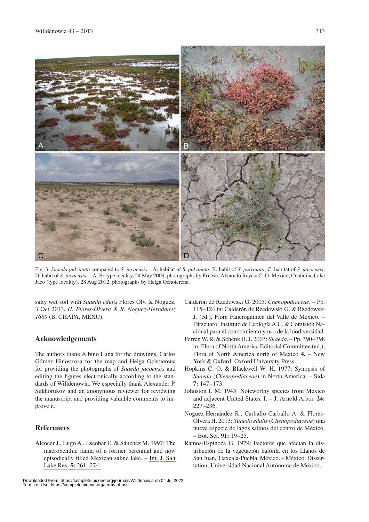

Fig. 3. *Suaeda pulvinata* compared to *S. jacoensis* – A: habitat of *S. pulvinata*; B: habit of *S. pulvinata*; C: habitat of *S. jacoensis*; D: habit of *S. jacoensis*. – A, B: type locality, 24 May 2009, photographs by Ernesto Alvarado Reyes; C, D: Mexico, Coahuila, Lake Jaco (type locality), 28 Aug 2012, photographs by Helga Ochoterena.

salty wet soil with *Suaeda edulis* Flores Olv. & Noguez, 3 Oct 2013, *H. Flores-Olvera & R. Noguez-Hernández 1689* (B, CHAPA, MEXU).

## **Acknowledgements**

The authors thank Albino Luna for the drawings, Carlos Gómez Hinostrosa for the map and Helga Ochoterena for providing the photographs of *Suaeda jacoensis* and editing the figures electronically according to the standards of Willdenowia. We especially thank Alexander P. Sukhorukov and an anonymous reviewer for reviewing the manuscript and providing valuable comments to improve it.

## **References**

Alcocer J., Lugo A., Escobar E. & Sánchez M. 1997: The macrobenthic fauna of a former perennial and now episodically filled Mexican saline lake. – [Int. J. Salt](http://dx.doi.org/10.1007/BF01997141)  [Lake Res.](http://dx.doi.org/10.1007/BF01997141) **[5:](http://dx.doi.org/10.1007/BF01997141)** [261–274.](http://dx.doi.org/10.1007/BF01997141)

- Calderón de Rzedowski G. 2005: *Chenopodiaceae*. Pp. 115–124 in: Calderón de Rzedowski G. & Rzedowski J. (ed.), Flora Fanerogámica del Valle de México. – Pátzcuaro: Instituto de Ecología A.C. & Comisión Nacional para el conocimiento y uso de la biodiversidad.
- Ferren W. R. & Schenk H. J. 2003: *Suaeda*. Pp. 390–398 in: Flora of North America Editorial Committee (ed.), Flora of North America north of Mexico **4.** – New York & Oxford: Oxford University Press.
- Hopkins C. O. & Blackwell W. H. 1977: Synopsis of *Suaeda* (*Chenopodiaceae*) in North America. – Sida **7:** 147–173.
- Johnston I. M. 1943: Noteworthy species from Mexico and adjacent United States, I. – J. Arnold Arbor. **24:** 227–236.
- Noguez-Hernández R., Carballo Carballo A. & Flores-Olvera H. 2013: *Suaeda edulis* (*Chenopodiaceae*) una nueva especie de lagos salinos del centro de México. – Bot. Sci. **91:** 19–25.
- Ramos-Espinoza G. 1979: Factores que afectan la distribución de la vegetación halófila en los Llanos de San Juan, Tlaxcala-Puebla, México. – México: Dissertation, Universidad Nacional Autónoma de México.